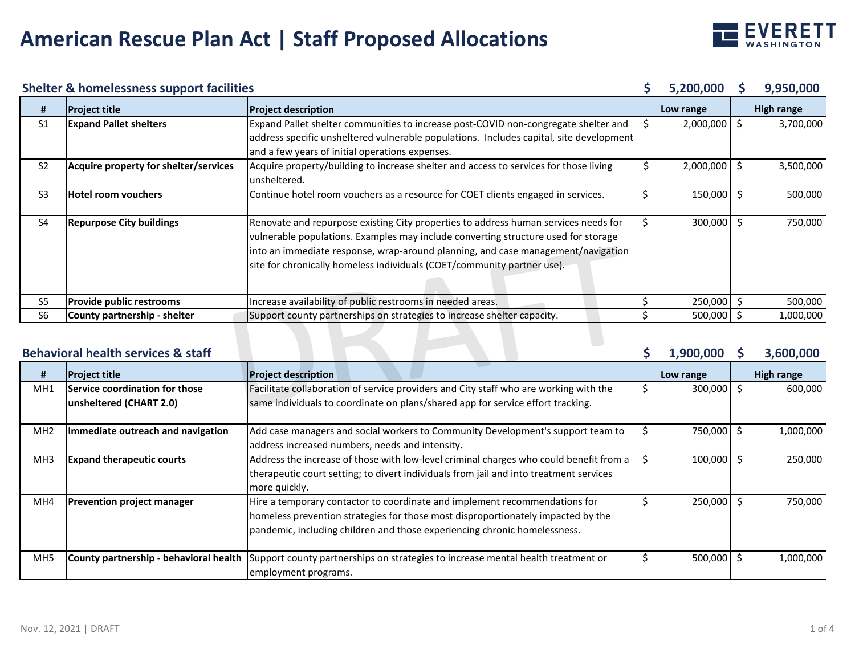

#### **Shelter & homelessness support facilities**

|                                                            | <b>Shelter &amp; homelessness support facilities</b> |                                                                                                                                                                                                                                                                                                                                          |    | 5,200,000      |  | 9,950,000         |
|------------------------------------------------------------|------------------------------------------------------|------------------------------------------------------------------------------------------------------------------------------------------------------------------------------------------------------------------------------------------------------------------------------------------------------------------------------------------|----|----------------|--|-------------------|
| #                                                          | <b>Project title</b>                                 | <b>Project description</b>                                                                                                                                                                                                                                                                                                               |    | Low range      |  | <b>High range</b> |
| S <sub>1</sub>                                             | <b>Expand Pallet shelters</b>                        | Expand Pallet shelter communities to increase post-COVID non-congregate shelter and                                                                                                                                                                                                                                                      | \$ | $2,000,000$ \$ |  | 3,700,000         |
|                                                            |                                                      | address specific unsheltered vulnerable populations. Includes capital, site development<br>and a few years of initial operations expenses.                                                                                                                                                                                               |    |                |  |                   |
| S <sub>2</sub>                                             | Acquire property for shelter/services                | Acquire property/building to increase shelter and access to services for those living<br>unsheltered.                                                                                                                                                                                                                                    | \$ | 2,000,000      |  | 3,500,000         |
| S <sub>3</sub>                                             | lHotel room vouchers                                 | Continue hotel room vouchers as a resource for COET clients engaged in services.                                                                                                                                                                                                                                                         | \$ | 150,000        |  | 500,000           |
| S <sub>4</sub>                                             | <b>Repurpose City buildings</b>                      | Renovate and repurpose existing City properties to address human services needs for<br>vulnerable populations. Examples may include converting structure used for storage<br>into an immediate response, wrap-around planning, and case management/navigation<br>site for chronically homeless individuals (COET/community partner use). | \$ | 300,000        |  | 750,000           |
| S5                                                         | <b>Provide public restrooms</b>                      | Increase availability of public restrooms in needed areas.                                                                                                                                                                                                                                                                               |    | 250,000 \$     |  | 500,000           |
| S <sub>6</sub>                                             | County partnership - shelter                         | Support county partnerships on strategies to increase shelter capacity.                                                                                                                                                                                                                                                                  |    | 500,000 \$     |  | 1,000,000         |
| <b>Behavioral health services &amp; staff</b><br>1,900,000 |                                                      |                                                                                                                                                                                                                                                                                                                                          |    |                |  | 3,600,000         |

#### **Behavioral health services & staff**

| #               | <b>Project title</b>                                      | <b>Project description</b>                                                                                                                                                                                                                  |     | Low range    | <b>High range</b> |
|-----------------|-----------------------------------------------------------|---------------------------------------------------------------------------------------------------------------------------------------------------------------------------------------------------------------------------------------------|-----|--------------|-------------------|
| MH <sub>1</sub> | Service coordination for those<br>unsheltered (CHART 2.0) | Facilitate collaboration of service providers and City staff who are working with the<br>same individuals to coordinate on plans/shared app for service effort tracking.                                                                    | \$. | 300,000      | 600,000           |
| MH <sub>2</sub> | Immediate outreach and navigation                         | Add case managers and social workers to Community Development's support team to<br>address increased numbers, needs and intensity.                                                                                                          |     | 750,000      | 1,000,000         |
| MH <sub>3</sub> | <b>Expand therapeutic courts</b>                          | Address the increase of those with low-level criminal charges who could benefit from a<br>therapeutic court setting; to divert individuals from jail and into treatment services<br>more quickly.                                           |     | $100,000$ \$ | 250,000           |
| MH4             | <b>Prevention project manager</b>                         | Hire a temporary contactor to coordinate and implement recommendations for<br>homeless prevention strategies for those most disproportionately impacted by the<br>pandemic, including children and those experiencing chronic homelessness. | S   | $250,000$ \$ | 750,000           |
| MH <sub>5</sub> | County partnership - behavioral health                    | Support county partnerships on strategies to increase mental health treatment or<br>employment programs.                                                                                                                                    |     | $500,000$ :  | 1,000,000         |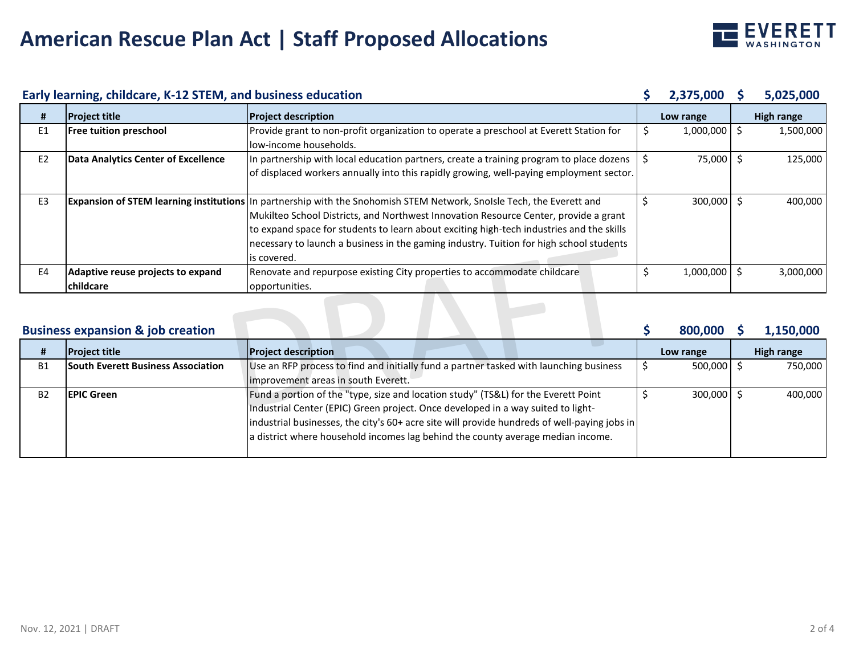

| Early learning, childcare, K-12 STEM, and business education |                                                       |                                                                                                                                                                                                                                                                                                                                                                                                                            | 2,375,000 | 5,025,000        |            |
|--------------------------------------------------------------|-------------------------------------------------------|----------------------------------------------------------------------------------------------------------------------------------------------------------------------------------------------------------------------------------------------------------------------------------------------------------------------------------------------------------------------------------------------------------------------------|-----------|------------------|------------|
| #                                                            | <b>Project title</b>                                  | <b>Project description</b>                                                                                                                                                                                                                                                                                                                                                                                                 |           | Low range        | High range |
| E <sub>1</sub>                                               | <b>Free tuition preschool</b>                         | Provide grant to non-profit organization to operate a preschool at Everett Station for<br>llow-income households.                                                                                                                                                                                                                                                                                                          | -S        | $1,000,000$ \$   | 1,500,000  |
| E <sub>2</sub>                                               | Data Analytics Center of Excellence                   | In partnership with local education partners, create a training program to place dozens<br>of displaced workers annually into this rapidly growing, well-paying employment sector.                                                                                                                                                                                                                                         |           | 75,000 \$        | 125,000    |
| E3                                                           |                                                       | <b>Expansion of STEM learning institutions</b> In partnership with the Snohomish STEM Network, Snolsle Tech, the Everett and<br>Mukilteo School Districts, and Northwest Innovation Resource Center, provide a grant<br>to expand space for students to learn about exciting high-tech industries and the skills<br>necessary to launch a business in the gaming industry. Tuition for high school students<br>is covered. |           | 300,000 \$       | 400,000    |
| E <sub>4</sub>                                               | Adaptive reuse projects to expand<br><b>childcare</b> | Renovate and repurpose existing City properties to accommodate childcare<br>opportunities.                                                                                                                                                                                                                                                                                                                                 |           | $1,000,000$   \$ | 3,000,000  |
|                                                              | <b>Business expansion &amp; job creation</b>          |                                                                                                                                                                                                                                                                                                                                                                                                                            |           | 800,000          | 1,150,000  |

## **Business expansion & job creation**

|           | <b>Project title</b>                      | <b>Project description</b>                                                                   | Low range           | High range |
|-----------|-------------------------------------------|----------------------------------------------------------------------------------------------|---------------------|------------|
| <b>B1</b> | <b>South Everett Business Association</b> | Use an RFP process to find and initially fund a partner tasked with launching business       | $500,000$ $\mid$ \$ | 750,000    |
|           |                                           | Improvement areas in south Everett.                                                          |                     |            |
| <b>B2</b> | <b>IEPIC Green</b>                        | Fund a portion of the "type, size and location study" (TS&L) for the Everett Point           | 300,000 \$          | 400,000    |
|           |                                           | Industrial Center (EPIC) Green project. Once developed in a way suited to light-             |                     |            |
|           |                                           | industrial businesses, the city's 60+ acre site will provide hundreds of well-paying jobs in |                     |            |
|           |                                           | a district where household incomes lag behind the county average median income.              |                     |            |
|           |                                           |                                                                                              |                     |            |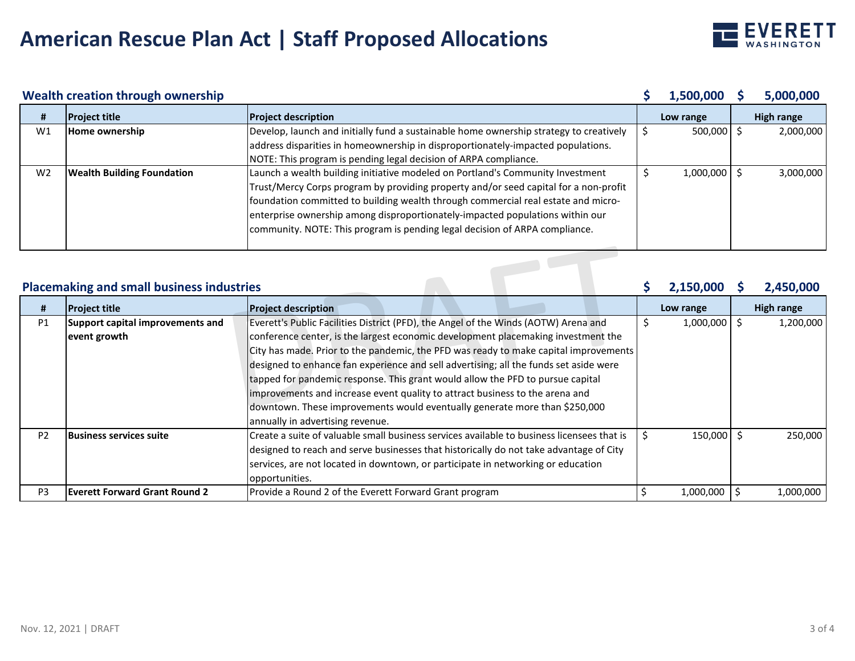

### **Wealth creation through ownership**

|                                                                            | Wealth creation through ownership |                                                                                                                                                                                                                                                                                                                                                                                                                             |  | 1,500,000      |  | 5,000,000         |
|----------------------------------------------------------------------------|-----------------------------------|-----------------------------------------------------------------------------------------------------------------------------------------------------------------------------------------------------------------------------------------------------------------------------------------------------------------------------------------------------------------------------------------------------------------------------|--|----------------|--|-------------------|
| #                                                                          | <b>Project title</b>              | <b>Project description</b>                                                                                                                                                                                                                                                                                                                                                                                                  |  | Low range      |  | <b>High range</b> |
| W1                                                                         | Home ownership                    | Develop, launch and initially fund a sustainable home ownership strategy to creatively                                                                                                                                                                                                                                                                                                                                      |  | $500,000$ \$   |  | 2,000,000         |
|                                                                            |                                   | address disparities in homeownership in disproportionately-impacted populations.                                                                                                                                                                                                                                                                                                                                            |  |                |  |                   |
|                                                                            |                                   | NOTE: This program is pending legal decision of ARPA compliance.                                                                                                                                                                                                                                                                                                                                                            |  |                |  |                   |
| W <sub>2</sub>                                                             | <b>Wealth Building Foundation</b> | Launch a wealth building initiative modeled on Portland's Community Investment<br>Trust/Mercy Corps program by providing property and/or seed capital for a non-profit<br>foundation committed to building wealth through commercial real estate and micro-<br>enterprise ownership among disproportionately-impacted populations within our<br>community. NOTE: This program is pending legal decision of ARPA compliance. |  | $1,000,000$ \$ |  | 3,000,000         |
| <b>Placemaking and small business industries</b><br>2,150,000<br>2,450,000 |                                   |                                                                                                                                                                                                                                                                                                                                                                                                                             |  |                |  |                   |

#### **Placemaking and small business industries**

| #              | <b>Project title</b>                 | <b>Project description</b>                                                                 | Low range        | <b>High range</b> |           |  |
|----------------|--------------------------------------|--------------------------------------------------------------------------------------------|------------------|-------------------|-----------|--|
| P1             | Support capital improvements and     | Everett's Public Facilities District (PFD), the Angel of the Winds (AOTW) Arena and        | $1,000,000$   \$ |                   | 1,200,000 |  |
|                | event growth                         | conference center, is the largest economic development placemaking investment the          |                  |                   |           |  |
|                |                                      | City has made. Prior to the pandemic, the PFD was ready to make capital improvements       |                  |                   |           |  |
|                |                                      | designed to enhance fan experience and sell advertising; all the funds set aside were      |                  |                   |           |  |
|                |                                      | tapped for pandemic response. This grant would allow the PFD to pursue capital             |                  |                   |           |  |
|                |                                      | improvements and increase event quality to attract business to the arena and               |                  |                   |           |  |
|                |                                      | downtown. These improvements would eventually generate more than \$250,000                 |                  |                   |           |  |
|                |                                      | annually in advertising revenue.                                                           |                  |                   |           |  |
| P <sub>2</sub> | <b>Business services suite</b>       | Create a suite of valuable small business services available to business licensees that is | $150,000$ \$     |                   | 250.000   |  |
|                |                                      | designed to reach and serve businesses that historically do not take advantage of City     |                  |                   |           |  |
|                |                                      | services, are not located in downtown, or participate in networking or education           |                  |                   |           |  |
|                |                                      | opportunities.                                                                             |                  |                   |           |  |
| P <sub>3</sub> | <b>Everett Forward Grant Round 2</b> | Provide a Round 2 of the Everett Forward Grant program                                     | 1,000,000        |                   | 1,000,000 |  |